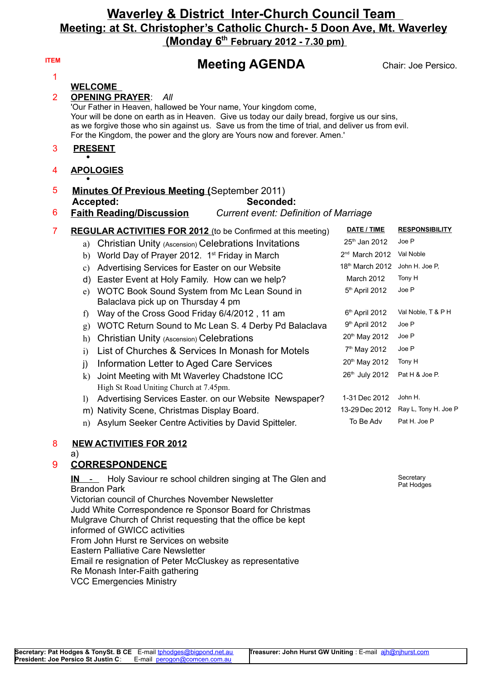## **Waverley & District Inter-Church Council Team Meeting: at St. Christopher's Catholic Church- 5 Doon Ave, Mt. Waverley (Monday 6th February 2012 - 7.30 pm)**

| <b>ITEM</b>    | <b>Meeting AGENDA</b>                                                                                                                                                                                                                                                                                                                                                                                  |                             | Chair: Joe Persico.     |
|----------------|--------------------------------------------------------------------------------------------------------------------------------------------------------------------------------------------------------------------------------------------------------------------------------------------------------------------------------------------------------------------------------------------------------|-----------------------------|-------------------------|
| 1              |                                                                                                                                                                                                                                                                                                                                                                                                        |                             |                         |
| $\overline{2}$ | <b>WELCOME</b><br><b>OPENING PRAYER:</b><br>All<br>'Our Father in Heaven, hallowed be Your name, Your kingdom come,<br>Your will be done on earth as in Heaven. Give us today our daily bread, forgive us our sins,<br>as we forgive those who sin against us. Save us from the time of trial, and deliver us from evil.<br>For the Kingdom, the power and the glory are Yours now and forever. Amen.' |                             |                         |
| 3              | <b>PRESENT</b>                                                                                                                                                                                                                                                                                                                                                                                         |                             |                         |
| 4              | <b>APOLOGIES</b>                                                                                                                                                                                                                                                                                                                                                                                       |                             |                         |
| 5              | <b>Minutes Of Previous Meeting (September 2011)</b><br>Accepted:<br>Seconded:                                                                                                                                                                                                                                                                                                                          |                             |                         |
| 6              | <b>Faith Reading/Discussion</b><br><b>Current event: Definition of Marriage</b>                                                                                                                                                                                                                                                                                                                        |                             |                         |
| $\overline{7}$ | <b>REGULAR ACTIVITIES FOR 2012</b> (to be Confirmed at this meeting)                                                                                                                                                                                                                                                                                                                                   | DATE / TIME                 | <b>RESPONSIBILITY</b>   |
|                | Christian Unity (Ascension) Celebrations Invitations<br>a)                                                                                                                                                                                                                                                                                                                                             | 25th Jan 2012               | Joe P                   |
|                | World Day of Prayer 2012. 1 <sup>st</sup> Friday in March<br>b)                                                                                                                                                                                                                                                                                                                                        | 2 <sup>nd</sup> March 2012  | Val Noble               |
|                | Advertising Services for Easter on our Website<br>c)                                                                                                                                                                                                                                                                                                                                                   | 18 <sup>th</sup> March 2012 | John H. Joe P,          |
|                | Easter Event at Holy Family. How can we help?<br>d)                                                                                                                                                                                                                                                                                                                                                    | March 2012                  | Tony H                  |
|                | WOTC Book Sound System from Mc Lean Sound in<br>e)<br>Balaclava pick up on Thursday 4 pm                                                                                                                                                                                                                                                                                                               | 5 <sup>th</sup> April 2012  | Joe P                   |
|                | Way of the Cross Good Friday 6/4/2012, 11 am<br>f                                                                                                                                                                                                                                                                                                                                                      | 6th April 2012              | Val Noble, T & P H      |
|                | WOTC Return Sound to Mc Lean S. 4 Derby Pd Balaclava<br>g)                                                                                                                                                                                                                                                                                                                                             | 9th April 2012              | Joe P                   |
|                | Christian Unity (Ascension) Celebrations<br>h)                                                                                                                                                                                                                                                                                                                                                         | 20th May 2012               | Joe P                   |
|                | List of Churches & Services In Monash for Motels<br>$\mathbf{i}$                                                                                                                                                                                                                                                                                                                                       | 7 <sup>th</sup> May 2012    | Joe P                   |
|                | Information Letter to Aged Care Services<br>j)                                                                                                                                                                                                                                                                                                                                                         | 20 <sup>th</sup> May 2012   | Tony H                  |
|                | Joint Meeting with Mt Waverley Chadstone ICC<br>$\bf k)$<br>High St Road Uniting Church at 7.45pm.                                                                                                                                                                                                                                                                                                     | 26th July 2012              | Pat H & Joe P.          |
|                | Advertising Services Easter. on our Website Newspaper?<br>$\Gamma$                                                                                                                                                                                                                                                                                                                                     | 1-31 Dec 2012               | John H.                 |
|                | m) Nativity Scene, Christmas Display Board.                                                                                                                                                                                                                                                                                                                                                            | 13-29 Dec 2012              | Ray L, Tony H. Joe P    |
|                | n) Asylum Seeker Centre Activities by David Spitteler.                                                                                                                                                                                                                                                                                                                                                 | To Be Adv                   | Pat H. Joe P            |
| 8              | <b>NEW ACTIVITIES FOR 2012</b>                                                                                                                                                                                                                                                                                                                                                                         |                             |                         |
| 9              | a)<br><b>CORRESPONDENCE</b>                                                                                                                                                                                                                                                                                                                                                                            |                             |                         |
|                | Holy Saviour re school children singing at The Glen and<br>IN<br><b>Brandon Park</b><br>Victorian council of Churches November Newsletter<br>Judd White Correspondence re Sponsor Board for Christmas                                                                                                                                                                                                  |                             | Secretary<br>Pat Hodges |

**Secretary: Pat Hodges & TonySt. B CE** E-mail [tphodges@bigpond.net.au](mailto:tphodges@bigpond.net.au) **President: Joe Persico St Justin C**: E-mail [perogon@comcen.com.au](mailto:perogon@comcen.com.au)

informed of GWICC activities

Re Monash Inter-Faith gathering VCC Emergencies Ministry

From John Hurst re Services on website Eastern Palliative Care Newsletter

Mulgrave Church of Christ requesting that the office be kept

Email re resignation of Peter McCluskey as representative